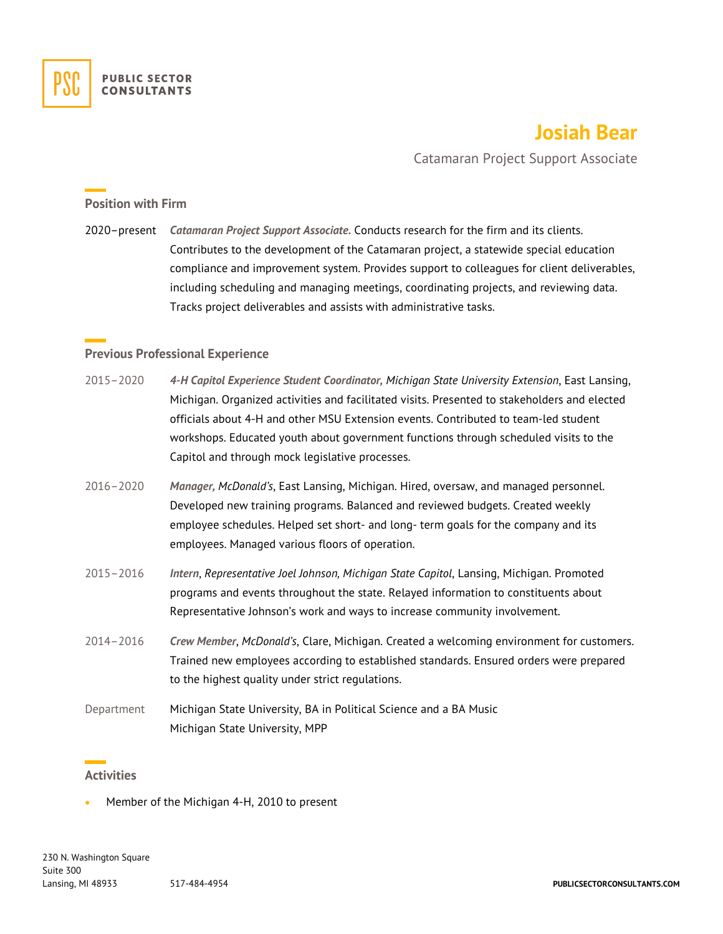# **Josiah Bear**

Catamaran Project Support Associate

# **Position with Firm**

2020–present *Catamaran Project Support Associate.* Conducts research for the firm and its clients. Contributes to the development of the Catamaran project, a statewide special education compliance and improvement system. Provides support to colleagues for client deliverables, including scheduling and managing meetings, coordinating projects, and reviewing data. Tracks project deliverables and assists with administrative tasks.

# **Previous Professional Experience**

- 2015–2020 *4-H Capitol Experience Student Coordinator, Michigan State University Extension*, East Lansing, Michigan. Organized activities and facilitated visits. Presented to stakeholders and elected officials about 4-H and other MSU Extension events. Contributed to team-led student workshops. Educated youth about government functions through scheduled visits to the Capitol and through mock legislative processes.
- 2016–2020 *Manager, McDonald's*, East Lansing, Michigan. Hired, oversaw, and managed personnel. Developed new training programs. Balanced and reviewed budgets. Created weekly employee schedules. Helped set short- and long- term goals for the company and its employees. Managed various floors of operation.
- 2015–2016 *Intern*, *Representative Joel Johnson, Michigan State Capitol*, Lansing, Michigan. Promoted programs and events throughout the state. Relayed information to constituents about Representative Johnson's work and ways to increase community involvement.
- 2014–2016 *Crew Member*, *McDonald's*, Clare, Michigan. Created a welcoming environment for customers. Trained new employees according to established standards. Ensured orders were prepared to the highest quality under strict regulations.
- Department Michigan State University, BA in Political Science and a BA Music Michigan State University, MPP

#### **Activities**

• Member of the Michigan 4-H, 2010 to present